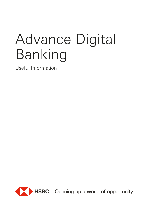# Advance Digital Banking

Useful Information



HSBC | Opening up a world of opportunity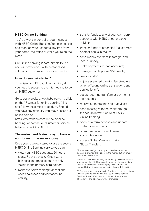## **HSBC Online Banking**

You're always in control of your finances with HSBC Online Banking. You can access and manage your accounts anytime from your home, the office or while you're on the move.

Our Online banking is safe, simple to use and will provide you with personalised solutions to maximise your investments.

## **How do you get started?**

To register for HSBC Online Banking, all you need is access to the internet and to be an HSBC customer.

Go to our website www.hsbc.com.mt, click on the "Register for online banking" link and follow the simple procedure. Should you have any difficulty you may access our online help on

[https://www.hsbc.com.mt/help/online](https://www.hsbc.com.mt/help/online-banking/)[banking/](https://www.hsbc.com.mt/help/online-banking/) or contact our Customer Service helpline on +356 2148 9101.

# **The easiest and fastest way to bank – your branch that never closes.**

Once you have registered to use the secure HSBC Online Banking service you can:

- view your HSBC accounts, 24 hours a day, 7 days a week, (Credit Card balances and transactions are only visible to the primary card holder);
- make everyday banking transactions. check balances and view account activity;
- transfer funds to any of your own bank accounts with HSBC or other banks in Malta;
- transfer funds to other HSBC customers or other banks in Malta;
- send money overseas in foreign\* and local currency;
- make payments to loan accounts;
- manage mobile phone SMS alerts;
- pay your bills\*\*:
- enjov a preferred banking fee structure when effecting online transactions and applications\*\*\*;
- set up recurring transfers or payments instructions;
- receive e-statements and e-advices:
- send messages to the bank through the secure infrastructure of HSBC Online Banking;
- open new term deposits and update maturity instructions;
- open new savings and current accounts online;
- access Global View and make Global Transfers.

\*The value of foreign currency and the date when the transfer is effected are subject to the market cut-off time of the currency concerned.

\*\*Refer to the online banking – Frequently Asked Questions webpage in the HSBC website for more useful information related to this service. This webpage also contains an updated list of bills you can pay using the pay bills facility.

\*\*\*The customer may also avail of various online promotions which would be tied up with the use of Online Banking Services. These offers vary from time to time, and are offered over-and-above any other promotions.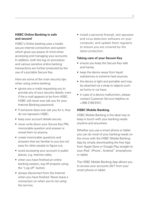# **HSBC Online Banking is safe and secure!**

HSBC's Online banking uses a totally secure internet connection and system which gives you peace of mind when accessing and managing your accounts. In addition, both the log-on procedure and various sensitive online banking transactions are further protected by the use of a portable Secure Key.

Here are some of the main security tips when using online banking:

- ignore any e-mails requesting you to provide any of your security details, even if the e-mail appears to be from HSBC. HSBC will never ever ask you for your Internet Banking password;
- if someone does ever ask you for it, they do not represent HSBC;
- keep your account details secure;
- never write down your Secure Key PIN, memorable question and answer or reveal them to anyone;
- create memorable questions and answers that are familiar to you but not easy for other people to figure out;
- avoid accessing your account in public places, e.g. internet cafes;
- when you have finished an online banking session, log off properly using the "Log off" button;
- always disconnect from the Internet when you have finished. Never leave a connection on when you're not using the service;

• install a personal firewall, anti-spyware and virus detection software on your computer, and update them regularly to ensure you are covered by the latest protection.

#### **Taking care of your Secure Key**

- ensure you keep the Secure Key safe and handy;
- keep the device away from liquid substances or extreme heat sources;
- the device is light and portable and may be attached via a strap to objects such as home or car keys;
- in case of a device malfunction, please contact Customer Service helpline on +356 2148 9101;

#### **HSBC Mobile Banking**

HSBC Mobile Banking is the ideal way to keep in touch with your banking needs anytime and anywhere.

Whether you use a smart phone or tablet you can do most of your banking needs on the move with the HSBC Mobile Banking App by simply downloading the free App from Apple Store or Google Play straight to your iPad®, iPhone®, Android™ smartphone or tablet.

The HSBC Mobile Banking App allows you to access your accounts 24/7 from your smart phone or tablet.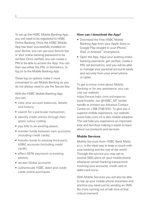To set up the HSBC Mobile Banking App, you will need to be registered to HSBC Online Banking. Once the HSBC Mobile App has been successfully installed on your device, you can use your Secure key or your online banking password to be verified. Once verified, you can create a PIN to be able to access the App. You can then use either the PIN, or biometrics, to log on to the Mobile Banking App.

These log on options make it more convenient to use Mobile Banking as you do not always need to use the Secure Key.

With the HSBC Mobile Banking App, you can:

- view your account balances, details and history;
- search for a particular transaction;
- identify credit entries through their green colour coding
- pay bills to an existing payee:
- transfer funds between own accounts (including credit cards);
- transfer funds to existing third-party HSBC accounts (including credit cards);
- effect SEPA payments to existing payees;
- access Global accounts
- authenticate HSBC debit and credit cards online purchases.

#### **How can I download the App?**

- Download the Free HSBC Mobile Banking App from your Apple Store or Google Play straight to your iPhone<sup>®</sup>, iPad® or Android™ smartphone.
- Open the App, input your existing online banking username, get verified, create a PIN, set biometrics, and you will be able to manage your personal accounts easily and securely from your smart phone or tablet.

To get to know more about Mobile Banking or for any assistance, you can visit our website https://www.hsbc.com.mt/ways-tobank/mobile, our @HSBC\_MT twitter handle or contact our Advance Contact Centre on +356 2148 9101. To give you a superior mobile experience, our website www.hsbc.com.mt is also mobile adaptive. This will help you experience an improved look and feel thus making it easier to learn about our products and services.

## **Mobile Services**

Mobile Services from HSBC Bank Malta p.l.c. is the ideal way to keep in touch with your banking and the rest of the world. Through this service you may opt to receive SMS alerts on your mobile phone whenever certain banking transactions involving your accounts, credit card or debit card occur.

With Mobile Services you will also be able to top up your mobile phone anywhere and anytime you need just by sending an SMS. No more running out of talk time at that critical moment!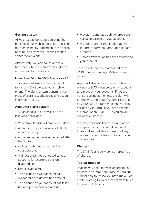## **Getting started**

All you need to do to start enjoying the benefits of our Mobile Alerts Service is to register online, by logging on to the online banking, and from the Services section, select Mobile alerts.

Alternatively, you can call at one of our branches, where our staff will be glad to register you for the service.

## **How does Mobile SMS Alerts work?**

This service utilises the SMS protocol to transmit SMS alerts to your mobile phone. The alerts system transmits two types of alerts; security alerts and account information alerts.

#### **Accounts alerts system**

You can choose to be advised on the following occasions:

- Your term Deposit will mature in 5 days.
- A standing instruction was not effected after the 3rd try.
- A loan repayment was not effected after the 3rd try.
- A direct debit was effected from your account.
- A direct credit was effected to your account, for example pension, dividends etc.
- Direct salary alert.
- The balance on your account has exceeded a pre-determined amount.
- The balance on your account has fallen below a pre-determined amount.
- A system generated debit or credit entry has been passed on your account.
- A debit or credit transaction above the pre-determined amount has been effected.
- A credit transaction has been effected to your account.

These alerts can be maintained from HSBC Online Banking, Mobile Services option.

Alerts will also be sent to your mobile phone via SMS when certain transactions take place on your accounts. If you are not transacting at the time, the alert will prompt you to call our Customer Services on 2380 2380 for further action. You can call us on 2148 9100 if you are a Premier customer or on 2148 9101 if you are an Advance customer.

It is your responsibility to ensure that we have your correct contact details at all times and immediately inform us of any changes to your mobile number or if your mobile is lost.

#### **Charges**

The SMS Alerts service is offered free of charge.

#### **Top-up function**

Imagine you need to make an urgent call or reply to an important SMS. You dial the number only to realise you have run out of credit. Nothing to do except set off to buy a top-up card! Or is there?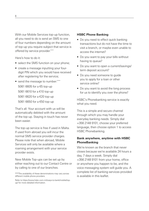With our Mobile Services top-up function, all you need to do is send an SMS to one of four numbers depending on the amount of top-up you require subject that service is offered by service provider.\*\*\*\*

Here's how to do it:

- select the SMS function on your phone:
- create a message inputting your fourdigit PIN which you would have received after registering for the service;
- send the message to number\*\*\*\*\* 5061 6605 for a €5 top-up 5061 6610 for a €10 top-up 5061 6620 for a €20 top-up 5061 6650 for a €50 top-up

That's all. Your account with us will be automatically debited with the amount of the top-up. Staying in touch has never been easier.

The top-up service is free if used in Malta. If used from abroad you will incur the normal SMS service provider charges. Please note that when abroad, Mobile Services will only be available where a roaming arrangement with your service provider exists.

New Mobile Top-ups can be set up by either reaching out to our Contact Centre or by calling to one of our branches.

#### **HSBC Phone Banking**

- Do you need to effect quick banking transactions but do not have the time to visit a branch, or maybe even unable to access the internet?
- Do you want to pay your bills without having to queue?
- Do you want to open a current/savings/ term deposit account?
- Do you need someone to quide you to apply for a loan or other service online?
- Do you want to avoid the long process for us to identify you over the phone?

HSBC's Phonebanking service is exactly what you need.

This is a simple and secure channel through which you may handle your everyday banking needs. Simply dial +356 2148 9101, choose your preferred language, then choose option 1 to access HSBC Phonebanking.

# **Bank anywhere, anytime with HSBC PhoneBanking**

We're known as the branch that never closes because we're available 24 hours a day, 7 days a week. Simply dial +356 2148 9101 from your home, office or anywhere you happen to be, and the voice messaging system will guide you. A complete list of banking services provided is available in this leaflet.

<sup>\*\*\*\*</sup>The availability of these denominations may vary across different mobile phone providers.

Refer to [https://www.hsbc.com.mt/ways-to-bank/mobile/top](https://www.hsbc.com.mt/ways-to-bank/mobile/top-up/)[up/](https://www.hsbc.com.mt/ways-to-bank/mobile/top-up/) for more detailed information.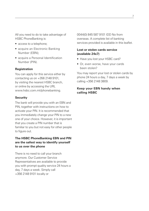All you need to do to take advantage of HSBC PhoneBanking is:

- access to a telephone:
- acquire an Electronic Banking Number (EBN);
- acquire a Personal Identification Number (PIN).

#### **Registration**

You can apply for this service either by contacting us on +356 2148 9101, by visiting the nearest HSBC branch, or online by accessing the URL www.hsbc.com.mt/phonebanking.

### **Security**

The bank will provide you with an EBN and PIN, together with instructions on how to activate your PIN. It is recommended that you immediately change your PIN to a new one of your choice. However, it is important that you create a PIN number that is familiar to you but not easy for other people to figure out.

# **The HSBC PhoneBanking EBN and PIN are the safest way to identify yourself to us over the phone**

There is no need to call your branch anymore. Our Customer Service Representatives are available to provide you with prompt quality service 24 hours a day, 7 days a week. Simply call +356 2148 9101 locally or

0044(0) 845 587 9101 IDD No from overseas. A complete list of banking services provided is available in this leaflet.

# **Lost or stolen cards service (available 24x7)**

- Have you lost your HSBC card?
- Or, even worse, have your cards been stolen?

You may report your lost or stolen cards by phone 24 hours a day, 7 days a week by calling +356 2148 3809.

# **Keep your EBN handy when calling HSBC**